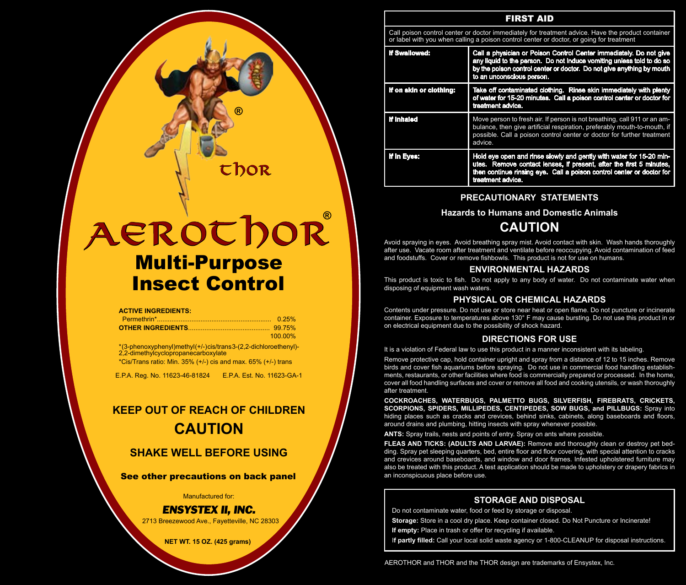| <b>FIRST AID</b>                                                                                                                                                                              |                                                                                                                                                                                                                                                   |  |  |  |  |  |
|-----------------------------------------------------------------------------------------------------------------------------------------------------------------------------------------------|---------------------------------------------------------------------------------------------------------------------------------------------------------------------------------------------------------------------------------------------------|--|--|--|--|--|
| Call poison control center or doctor immediately for treatment advice. Have the product container<br>or label with you when calling a poison control center or doctor, or going for treatment |                                                                                                                                                                                                                                                   |  |  |  |  |  |
| If Swallowed:                                                                                                                                                                                 | Call a physician or Poison Control Center immediately. Do not give<br>any liquid to the person. Do not induce vomiting unless told to do so<br>by the poison control center or doctor. Do not give anything by mouth<br>to an unconscious person. |  |  |  |  |  |
| If on skin or clothing:                                                                                                                                                                       | Take off contaminated clothing. Rinse skin immediately with plenty<br>of water for 15-20 minutes. Call a poison control center or doctor for<br>treatment advice.                                                                                 |  |  |  |  |  |
| If inhaled                                                                                                                                                                                    | Move person to fresh air. If person is not breathing, call 911 or an am-<br>bulance, then give artificial respiration, preferably mouth-to-mouth, if<br>possible. Call a poison control center or doctor for further treatment<br>advice.         |  |  |  |  |  |
| If in Eyes:                                                                                                                                                                                   | Hold eye open and rinse slowly and gently with water for 15-20 min-<br>utes. Remove contact lenses, if present, after the first 5 minutes,<br>then continue rinsing eye. Call a poison control center or doctor for<br>treatment advice.          |  |  |  |  |  |

## **PRECAUTIONARY STATEMENTS**

**Hazards to Humans and Domestic Animals**

## **CAUTION**

Avoid spraying in eyes. Avoid breathing spray mist. Avoid contact with skin. Wash hands thoroughly after use. Vacate room after treatment and ventilate before reoccupying. Avoid contamination of feed and foodstuffs. Cover or remove fishbowls. This product is not for use on humans.

## **ENVIRONMENTAL HAZARDS**

This product is toxic to fish. Do not apply to any body of water. Do not contaminate water when disposing of equipment wash waters.

## **PHYSICAL OR CHEMICAL HAZARDS**

Contents under pressure. Do not use or store near heat or open flame. Do not puncture or incinerate container. Exposure to temperatures above 130° F may cause bursting. Do not use this product in or on electrical equipment due to the possibility of shock hazard.

### **DIRECTIONS FOR USE**

It is a violation of Federal law to use this product in a manner inconsistent with its labeling.

Remove protective cap, hold container upright and spray from a distance of 12 to 15 inches. Remove birds and cover fish aquariums before spraying. Do not use in commercial food handling establishments, restaurants, or other facilities where food is commercially prepared or processed. In the home, cover all food handling surfaces and cover or remove all food and cooking utensils, or wash thoroughly after treatment.

**COCKROACHES, WATERBUGS, PALMETTO BUGS, SILVERFISH, FIREBRATS, CRICKETS, SCORPIONS, SPIDERS, MILLIPEDES, CENTIPEDES, SOW BUGS, and PILLBUGS:** Spray into hiding places such as cracks and crevices, behind sinks, cabinets, along baseboards and floors, around drains and plumbing, hitting insects with spray whenever possible.

**ANTS:** Spray trails, nests and points of entry. Spray on ants where possible.

**FLEAS AND TICKS: (ADULTS AND LARVAE):** Remove and thoroughly clean or destroy pet bedding. Spray pet sleeping quarters, bed, entire floor and floor covering, with special attention to cracks and crevices around baseboards, and window and door frames. Infested upholstered furniture may also be treated with this product. A test application should be made to upholstery or drapery fabrics in an inconspicuous place before use.

## **STORAGE AND DISPOSAL**

Do not contaminate water, food or feed by storage or disposal.

**Storage:** Store in a cool dry place. Keep container closed. Do Not Puncture or Incinerate!

**If empty:** Place in trash or offer for recycling if available.

I**f partly filled:** Call your local solid waste agency or 1-800-CLEANUP for disposal instructions.

Multi-Purpose **AEROTHOR** Insect Control

**®**

thor

**®**

|  |  | <b>ACTIVE INGREDIENTS:</b> |
|--|--|----------------------------|
|  |  |                            |

| 0.25%   |
|---------|
|         |
| 100.00% |

\* (3-phenoxyphenyl)methyl (+/-) cis/trans 3-(2,2-dichloroethenyl)- 2,2-dimethylcyclopropanecarboxylate

\*Cis/Trans ratio: Min. 35% (+/-) cis and max. 65% (+/-) trans

E.P.A. Reg. No. 11623-46-81824 E.P.A. Est. No. 11623-GA-1

# **KEEP OUT OF REACH OF CHILDREN CAUTION**

## **SHAKE WELL BEFORE USING**

See other precautions on back panel

Manufactured for:

## *ENSYSTEX II, INC.*

2713 Breezewood Ave., Fayetteville, NC 28303

**NET WT. 15 OZ. (425 grams)**

AEROTHOR and THOR and the THOR design are trademarks of Ensystex, Inc.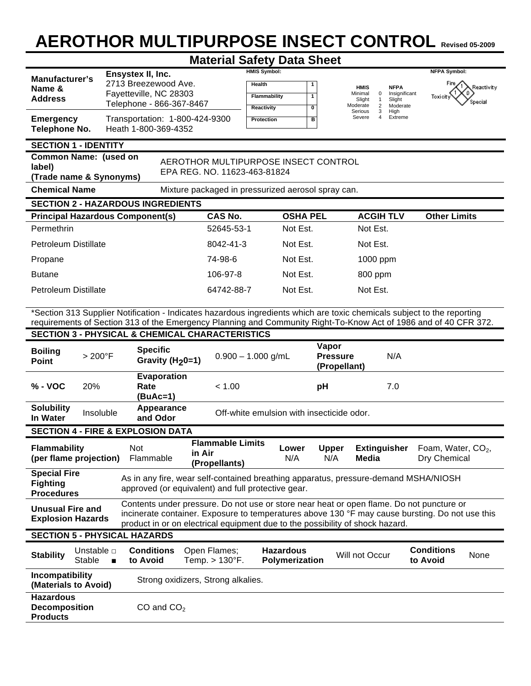# **AEROTHOR MULTIPURPOSE INSECT CONTROL Revised 05-2009**

# **Material Safety Data Sheet**

|                                                                                                                                                                                                          | Ensystex II, Inc.                                                                                                                                                                                                                           |                                                    | <b>HMIS Symbol:</b>                       |                                                                                                                                                                                                                                                                              | <b>NFPA Symbol:</b>                            |  |  |
|----------------------------------------------------------------------------------------------------------------------------------------------------------------------------------------------------------|---------------------------------------------------------------------------------------------------------------------------------------------------------------------------------------------------------------------------------------------|----------------------------------------------------|-------------------------------------------|------------------------------------------------------------------------------------------------------------------------------------------------------------------------------------------------------------------------------------------------------------------------------|------------------------------------------------|--|--|
| <b>Manufacturer's</b><br>Name &                                                                                                                                                                          | 2713 Breezewood Ave.                                                                                                                                                                                                                        | Health                                             | 1                                         | <b>NFPA</b><br><b>HMIS</b>                                                                                                                                                                                                                                                   | Fire<br>,Reactivity                            |  |  |
| <b>Address</b>                                                                                                                                                                                           | Fayetteville, NC 28303                                                                                                                                                                                                                      |                                                    | $\overline{1}$<br>Flammability            | Insignificant<br>Minimal<br>$\mathbf 0$<br>Slight<br>Slight<br>1                                                                                                                                                                                                             | Toxicity<br>Special                            |  |  |
|                                                                                                                                                                                                          | Telephone - 866-367-8467                                                                                                                                                                                                                    | Reactivity                                         | 0                                         | Moderate<br>2<br>Moderate<br>Serious<br>3<br>High                                                                                                                                                                                                                            |                                                |  |  |
| <b>Emergency</b><br><b>Telephone No.</b>                                                                                                                                                                 | Transportation: 1-800-424-9300<br>Heath 1-800-369-4352                                                                                                                                                                                      | Protection                                         | в                                         | $\overline{4}$<br>Extreme<br>Severe                                                                                                                                                                                                                                          |                                                |  |  |
| <b>SECTION 1 - IDENTITY</b>                                                                                                                                                                              |                                                                                                                                                                                                                                             |                                                    |                                           |                                                                                                                                                                                                                                                                              |                                                |  |  |
| label)<br>(Trade name & Synonyms)                                                                                                                                                                        | <b>Common Name: (used on</b><br>AEROTHOR MULTIPURPOSE INSECT CONTROL<br>EPA REG. NO. 11623-463-81824                                                                                                                                        |                                                    |                                           |                                                                                                                                                                                                                                                                              |                                                |  |  |
| <b>Chemical Name</b>                                                                                                                                                                                     |                                                                                                                                                                                                                                             | Mixture packaged in pressurized aerosol spray can. |                                           |                                                                                                                                                                                                                                                                              |                                                |  |  |
|                                                                                                                                                                                                          | <b>SECTION 2 - HAZARDOUS INGREDIENTS</b>                                                                                                                                                                                                    |                                                    |                                           |                                                                                                                                                                                                                                                                              |                                                |  |  |
|                                                                                                                                                                                                          | <b>Principal Hazardous Component(s)</b>                                                                                                                                                                                                     | <b>CAS No.</b>                                     | <b>OSHA PEL</b>                           | <b>ACGIH TLV</b>                                                                                                                                                                                                                                                             | <b>Other Limits</b>                            |  |  |
| Permethrin                                                                                                                                                                                               |                                                                                                                                                                                                                                             | 52645-53-1                                         | Not Est.                                  | Not Est.                                                                                                                                                                                                                                                                     |                                                |  |  |
| <b>Petroleum Distillate</b>                                                                                                                                                                              |                                                                                                                                                                                                                                             | 8042-41-3                                          | Not Est.                                  | Not Est.                                                                                                                                                                                                                                                                     |                                                |  |  |
| Propane                                                                                                                                                                                                  |                                                                                                                                                                                                                                             | 74-98-6                                            | Not Est.                                  | 1000 ppm                                                                                                                                                                                                                                                                     |                                                |  |  |
| <b>Butane</b>                                                                                                                                                                                            |                                                                                                                                                                                                                                             | 106-97-8                                           | Not Est.                                  | 800 ppm                                                                                                                                                                                                                                                                      |                                                |  |  |
| <b>Petroleum Distillate</b>                                                                                                                                                                              |                                                                                                                                                                                                                                             | 64742-88-7                                         | Not Est.                                  | Not Est.                                                                                                                                                                                                                                                                     |                                                |  |  |
|                                                                                                                                                                                                          |                                                                                                                                                                                                                                             |                                                    |                                           |                                                                                                                                                                                                                                                                              |                                                |  |  |
|                                                                                                                                                                                                          | *Section 313 Supplier Notification - Indicates hazardous ingredients which are toxic chemicals subject to the reporting<br>requirements of Section 313 of the Emergency Planning and Community Right-To-Know Act of 1986 and of 40 CFR 372. |                                                    |                                           |                                                                                                                                                                                                                                                                              |                                                |  |  |
|                                                                                                                                                                                                          | <b>SECTION 3 - PHYSICAL &amp; CHEMICAL CHARACTERISTICS</b>                                                                                                                                                                                  |                                                    |                                           |                                                                                                                                                                                                                                                                              |                                                |  |  |
| <b>Boiling</b><br>$>200^{\circ}$ F<br><b>Point</b>                                                                                                                                                       | <b>Specific</b><br>Gravity ( $H20=1$ )                                                                                                                                                                                                      | $0.900 - 1.000$ g/mL                               |                                           | Vapor<br>N/A<br><b>Pressure</b><br>(Propellant)                                                                                                                                                                                                                              |                                                |  |  |
| 20%<br>$% - VOC$                                                                                                                                                                                         | Evaporation<br>Rate<br>$(BuAc=1)$                                                                                                                                                                                                           | < 1.00                                             |                                           | 7.0<br>pH                                                                                                                                                                                                                                                                    |                                                |  |  |
| <b>Solubility</b><br>In Water                                                                                                                                                                            | Appearance<br>Insoluble<br>and Odor                                                                                                                                                                                                         |                                                    | Off-white emulsion with insecticide odor. |                                                                                                                                                                                                                                                                              |                                                |  |  |
|                                                                                                                                                                                                          | <b>SECTION 4 - FIRE &amp; EXPLOSION DATA</b>                                                                                                                                                                                                |                                                    |                                           |                                                                                                                                                                                                                                                                              |                                                |  |  |
| <b>Flammability</b><br>(per flame projection)                                                                                                                                                            | Not<br>Flammable                                                                                                                                                                                                                            | <b>Flammable Limits</b><br>in Air<br>(Propellants) | Lower<br>N/A                              | <b>Extinguisher</b><br><b>Upper</b><br>N/A<br><b>Media</b>                                                                                                                                                                                                                   | Foam, Water, CO <sub>2</sub> ,<br>Dry Chemical |  |  |
| <b>Special Fire</b><br>As in any fire, wear self-contained breathing apparatus, pressure-demand MSHA/NIOSH<br><b>Fighting</b><br>approved (or equivalent) and full protective gear.<br><b>Procedures</b> |                                                                                                                                                                                                                                             |                                                    |                                           |                                                                                                                                                                                                                                                                              |                                                |  |  |
| <b>Unusual Fire and</b><br><b>Explosion Hazards</b>                                                                                                                                                      |                                                                                                                                                                                                                                             |                                                    |                                           | Contents under pressure. Do not use or store near heat or open flame. Do not puncture or<br>incinerate container. Exposure to temperatures above 130 °F may cause bursting. Do not use this<br>product in or on electrical equipment due to the possibility of shock hazard. |                                                |  |  |
| <b>SECTION 5 - PHYSICAL HAZARDS</b>                                                                                                                                                                      |                                                                                                                                                                                                                                             |                                                    |                                           |                                                                                                                                                                                                                                                                              |                                                |  |  |
| Unstable <b>D</b><br><b>Stability</b><br><b>Stable</b>                                                                                                                                                   | <b>Conditions</b><br>to Avoid<br>$\blacksquare$                                                                                                                                                                                             | Open Flames;<br>Temp. $> 130^{\circ}$ F.           | <b>Hazardous</b><br>Polymerization        | Will not Occur                                                                                                                                                                                                                                                               | <b>Conditions</b><br>None<br>to Avoid          |  |  |
| Incompatibility<br>(Materials to Avoid)                                                                                                                                                                  | Strong oxidizers, Strong alkalies.                                                                                                                                                                                                          |                                                    |                                           |                                                                                                                                                                                                                                                                              |                                                |  |  |
| <b>Hazardous</b><br><b>Decomposition</b><br><b>Products</b>                                                                                                                                              | $CO$ and $CO2$                                                                                                                                                                                                                              |                                                    |                                           |                                                                                                                                                                                                                                                                              |                                                |  |  |